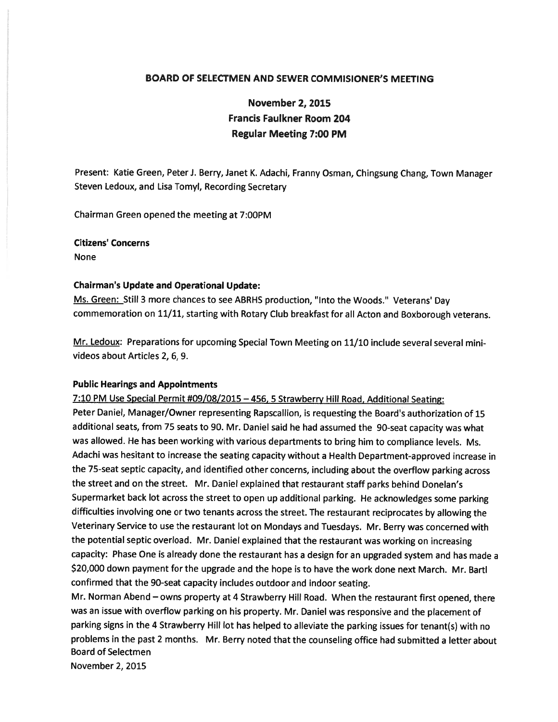# BOARD OF SELECTMEN AND SEWER COMMISIONER'S MEETING

November 2, 2015 Francis Faulkner Room 204 Regular Meeting 7:00 PM

Present: Katie Green, Peter J. Berry, Janet K. Adachi, Franny Osman, Chingsung Chang, Town Manager Steven Ledoux, and Lisa Tomyl, Recording Secretary

Chairman Green opened the meeting at 7:00PM

Citizens' Concerns

None

# Chairman's Update and Operational Update:

Ms. Green: Still <sup>3</sup> more chances to see ABRHS production, "Into the Woods." Veterans' Day commemoration on 11/11, starting with Rotary Club breakfast for all Acton and Boxborough veterans.

Mr. Ledoux: Preparations for upcoming Special Town Meeting on 11/10 include several several minivideos about Articles 2, 6, 9.

#### Public Hearings and Appointments

7:10 PM Use Special Permit #09/08/2015 —456, <sup>5</sup> Strawberry Hill Road, Additional Seating: Peter Daniel, Manager/Owner representing Rapscallion, is requesting the Board's authorization of <sup>15</sup> additional seats, from <sup>75</sup> seats to 90. Mr. Daniel said he had assumed the 90-seat capacity was what was allowed. He has been working with various departments to bring him to compliance levels. Ms. Adachi was hesitant to increase the seating capacity without <sup>a</sup> Health Department-approved increase in the 75-seat septic capacity, and identified other concerns, including about the overflow parking across the street and on the street. Mr. Daniel explained that restaurant staff parks behind Donelan's Supermarket back lot across the street to open up additional parking. He acknowledges some parking difficulties involving one or two tenants across the street. The restaurant reciprocates by allowing the Veterinary Service to use the restaurant lot on Mondays and Tuesdays. Mr. Berry was concerned with the potential septic overload. Mr. Daniel explained that the restaurant was working on increasing capacity: Phase One is already done the restaurant has <sup>a</sup> design for an upgraded system and has made <sup>a</sup> \$20,000 down paymen<sup>t</sup> for the upgrade and the hope is to have the work done next March. Mr. Bartl confirmed that the 90-seat capacity includes outdoor and indoor seating.

Mr. Norman Abend — owns property at <sup>4</sup> Strawberry Hill Road. When the restaurant first opened, there was an issue with overflow parking on his property. Mr. Daniel was responsive and the <sup>p</sup>lacement of parking signs in the <sup>4</sup> Strawberry Hill lot has helped to alleviate the parking issues for tenant(s) with no problems in the pas<sup>t</sup> <sup>2</sup> months. Mr. Berry noted that the counseling office had submitted <sup>a</sup> letter about Board of Selectmen

November 2, 2015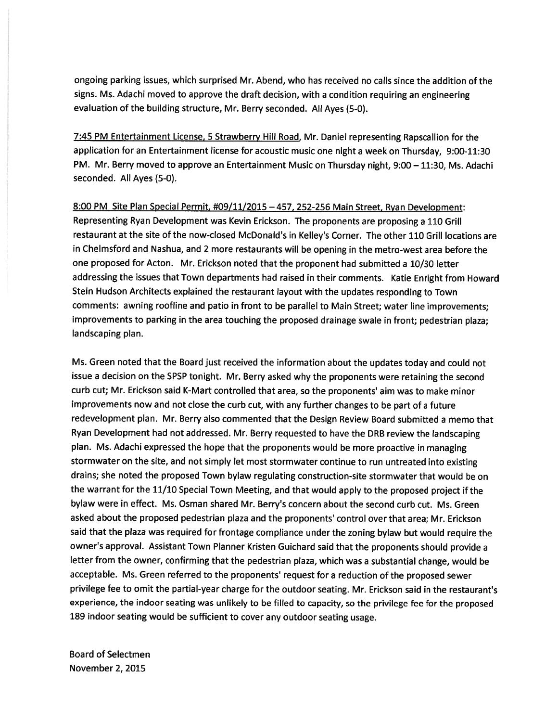ongoing parking issues, which surprised Mr. Abend, who has received no calls since the addition of the signs. Ms. Adachi moved to approve the draft decision, with <sup>a</sup> condition requiring an engineering evaluation of the building structure, Mr. Berry seconded. All Ayes (5-0).

7:45 PM Entertainment License, <sup>5</sup> Strawberry Hill Road, Mr. Daniel representing Rapscallion for the application for an Entertainment license for acoustic music one night <sup>a</sup> week on Thursday, 9:00-11:30 PM. Mr. Berry moved to approve an Entertainment Music on Thursday night, 9:00 — 11:30, Ms. Adachi seconded. All Ayes (5-0).

8:00 PM Site Plan Special Permit, #09/11/2015 —457, 252-256 Main Street, Ryan Development: Representing Ryan Development was Kevin Erickson. The proponents are proposing <sup>a</sup> <sup>110</sup> Grill restaurant at the site of the now-closed McDonald's in Kelley's Corner. The other 110 Grill locations are in Chelmsford and Nashua, and <sup>2</sup> more restaurants will be opening in the metro-west area before the one proposed for Acton. Mr. Erickson noted that the proponen<sup>t</sup> had submitted <sup>a</sup> 10/30 letter addressing the issues that Town departments had raised in their comments. Katie Enright from Howard Stein Hudson Architects explained the restaurant layout with the updates responding to Town comments: awning roofline and patio in front to be parallel to Main Street; water line improvements; improvements to parking in the area touching the propose<sup>d</sup> drainage swale in front; pedestrian <sup>p</sup>laza; landscaping plan.

Ms. Green noted that the Board just received the information about the updates today and could not issue <sup>a</sup> decision on the SPSP tonight. Mr. Berry asked why the proponents were retaining the second curb cut; Mr. Erickson said K-Mart controlled that area, so the proponents' aim was to make minor improvements now and not close the curb cut, with any further changes to be par<sup>t</sup> of <sup>a</sup> future redevelopment <sup>p</sup>lan. Mr. Berry also commented that the Design Review Board submitted <sup>a</sup> memo that Ryan Development had not addressed. Mr. Berry requested to have the DRB review the landscaping <sup>p</sup>lan. Ms. Adachi expresse<sup>d</sup> the hope that the proponents would be more proactive in managing stormwater on the site, and not simply let most stormwater continue to run untreated into existing drains; she noted the proposed Town bylaw regulating construction-site stormwater that would be on the warrant for the 11/10 Special Town Meeting, and that would apply to the propose<sup>d</sup> project if the bylaw were in effect. Ms. Osman shared Mr. Berry's concern about the second curb cut. Ms. Green asked about the proposed pedestrian <sup>p</sup>laza and the proponents' control over that area; Mr. Erickson said that the <sup>p</sup>laza was required for frontage compliance under the zoning bylaw but would require the owner's approval. Assistant Town Planner Kristen Guichard said that the proponents should provide <sup>a</sup> letter from the owner, confirming that the pedestrian <sup>p</sup>laza, which was <sup>a</sup> substantial change, would be acceptable. Ms. Green referred to the proponents' reques<sup>t</sup> for <sup>a</sup> reduction of the propose<sup>d</sup> sewer privilege fee to omit the partial-year charge for the outdoor seating. Mr. Erickson said in the restaurant's experience, the indoor seating was unlikely to be filled to capacity, so the privilege fee for the propose<sup>d</sup> <sup>189</sup> indoor seating would be sufficient to cover any outdoor seating usage.

Board of Selectmen November 2, 2015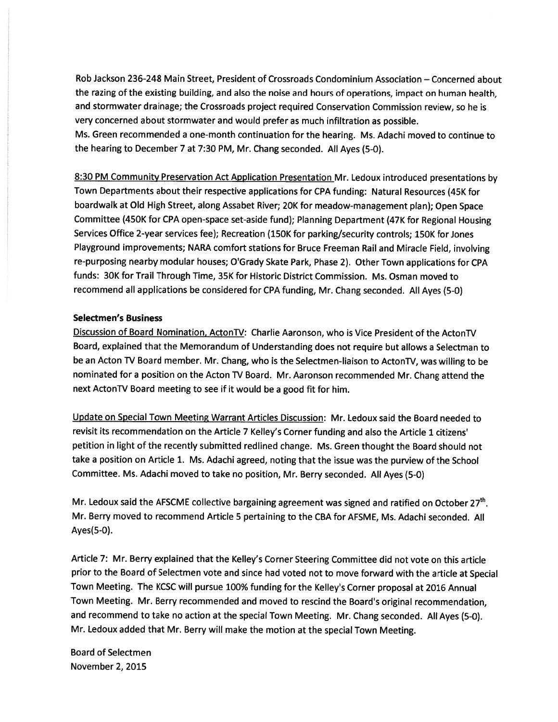Rob Jackson 236-248 Main Street, President of Crossroads Condominium Association — Concerned about the razing of the existing building, and also the noise and hours of operations, impact on human health, and stormwater drainage; the Crossroads project required Conservation Commission review, so he is very concerned about stormwater and would prefer as much infiltration as possible. Ms. Green recommended <sup>a</sup> one-month continuation for the hearing. Ms. Adachi moved to continue to the hearing to December <sup>7</sup> at 7:30 PM, Mr. Chang seconded. All Ayes (5-0).

8:30 PM Community Preservation Act Application Presentation Mr. Ledoux introduced presentations by Town Departments about their respective applications for CPA funding: Natural Resources (45K for boardwalk at Old High Street, along Assabet River; 20K for meadow-management <sup>p</sup>lan); Open Space Committee (450K for CPA open-space set-aside fund); Planning Department (47K for Regional Housing Services Office 2-year services fee); Recreation (150K for parking/security controls; 150K for Jones Playground improvements; NARA comfort stations for Bruce Freeman Rail and Miracle Field, involving re-purposing nearby modular houses; O'Grady Skate Park, Phase 2). Other Town applications for CPA funds: 30K for Trail Through Time, 35K for Historic District Commission. Ms. Osman moved to recommend all applications be considered for CPA funding, Mr. Chang seconded. All Ayes (5-0)

#### Selectmen's Business

Discussion of Board Nomination, ActonTV: Charlie Aaronson, who is Vice President of the ActonTV Board, explained that the Memorandum of Understanding does not require but allows <sup>a</sup> Selectman to be an Acton TV Board member. Mr. Chang, who is the Selectmen-liaison to ActonTV, was willing to be nominated for <sup>a</sup> position on the Acton TV Board. Mr. Aaronson recommended Mr. Chang attend the next ActonTV Board meeting to see if it would be <sup>a</sup> good fit for him.

Update on Special Town Meeting Warrant Articles Discussion: Mr. Ledoux said the Board needed to revisit its recommendation on the Article <sup>7</sup> Kelley's Corner funding and also the Article <sup>1</sup> citizens' petition in light of the recently submitted redlined change. Ms. Green thought the Board should not take <sup>a</sup> position on Article 1. Ms. Adachi agreed, noting that the issue was the purview of the School Committee. Ms. Adachi moved to take no position, Mr. Berry seconded. All Ayes (5-0)

Mr. Ledoux said the AFSCME collective bargaining agreement was signed and ratified on October 27<sup>th</sup>. Mr. Berry moved to recommend Article 5 pertaining to the CBA for AFSME, Ms. Adachi seconded. All Ayes(5-0).

Article 7: Mr. Berry explained that the Kelley's Corner Steering Committee did not vote on this article prior to the Board of Selectmen vote and since had voted not to move forward with the article at Special Town Meeting. The KCSC will pursue 100% funding for the Kelley's Corner proposa<sup>l</sup> at <sup>2016</sup> Annual Town Meeting. Mr. Berry recommended and moved to rescind the Board's original recommendation, and recommend to take no action at the special Town Meeting. Mr. Chang seconded. All Ayes (5-0). Mr. Ledoux added that Mr. Berry will make the motion at the special Town Meeting.

Board of Selectmen November 2, 2015